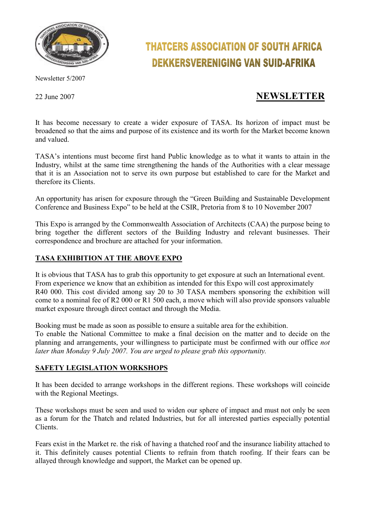

# Newsletter 5/2007

# **THATCERS ASSOCIATION OF SOUTH AFRICA DEKKERSVERENIGING VAN SUID-AFRIKA**

# 22 June 2007 **NEWSLETTER**

It has become necessary to create a wider exposure of TASA. Its horizon of impact must be broadened so that the aims and purpose of its existence and its worth for the Market become known and valued.

TASA's intentions must become first hand Public knowledge as to what it wants to attain in the Industry, whilst at the same time strengthening the hands of the Authorities with a clear message that it is an Association not to serve its own purpose but established to care for the Market and therefore its Clients.

An opportunity has arisen for exposure through the "Green Building and Sustainable Development Conference and Business Expo" to be held at the CSIR, Pretoria from 8 to 10 November 2007

This Expo is arranged by the Commonwealth Association of Architects (CAA) the purpose being to bring together the different sectors of the Building Industry and relevant businesses. Their correspondence and brochure are attached for your information.

## **TASA EXHIBITION AT THE ABOVE EXPO**

It is obvious that TASA has to grab this opportunity to get exposure at such an International event. From experience we know that an exhibition as intended for this Expo will cost approximately R40 000. This cost divided among say 20 to 30 TASA members sponsoring the exhibition will come to a nominal fee of R2 000 or R1 500 each, a move which will also provide sponsors valuable market exposure through direct contact and through the Media.

Booking must be made as soon as possible to ensure a suitable area for the exhibition.

To enable the National Committee to make a final decision on the matter and to decide on the planning and arrangements, your willingness to participate must be confirmed with our office *not later than Monday 9 July 2007. You are urged to please grab this opportunity.* 

#### **SAFETY LEGISLATION WORKSHOPS**

It has been decided to arrange workshops in the different regions. These workshops will coincide with the Regional Meetings.

These workshops must be seen and used to widen our sphere of impact and must not only be seen as a forum for the Thatch and related Industries, but for all interested parties especially potential Clients.

Fears exist in the Market re. the risk of having a thatched roof and the insurance liability attached to it. This definitely causes potential Clients to refrain from thatch roofing. If their fears can be allayed through knowledge and support, the Market can be opened up.